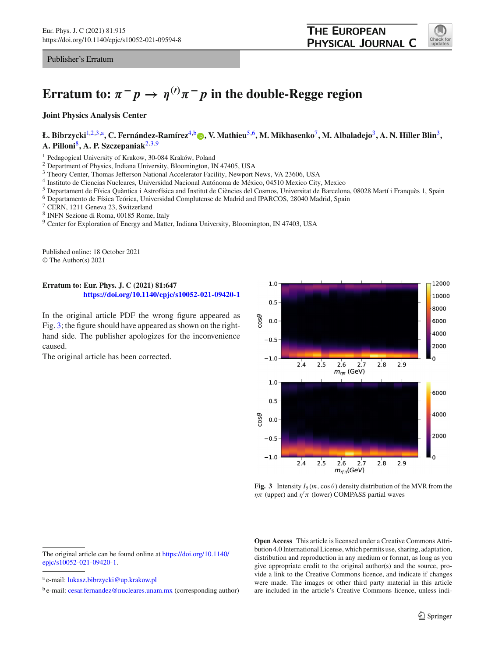Publisher's Erratum

## **Erratum to:**  $\pi^- p \to \eta^{(\prime)} \pi^- p$  in the double-Regge region

**Joint Physics Analysis Center**

## **Ł. Bibrzycki**[1,2](#page-0-0)[,3,](#page-0-1)a**, C. Fernández-Ramírez**[4,](#page-0-2)b **[,](http://orcid.org/0000-0001-8979-5660) V. Mathieu**[5](#page-0-3)[,6](#page-0-4)**, M. Mikhasenko**[7](#page-0-5)**, M. Albaladejo**[3](#page-0-1)**, A. N. Hiller Blin**[3](#page-0-1)**, A. Pilloni**[8](#page-0-6)**, A. P. Szczepaniak**[2](#page-0-0)[,3](#page-0-1)[,9](#page-0-7)

<sup>1</sup> Pedagogical University of Krakow, 30-084 Kraków, Poland

<sup>2</sup> Department of Physics, Indiana University, Bloomington, IN 47405, USA

<sup>3</sup> Theory Center, Thomas Jefferson National Accelerator Facility, Newport News, VA 23606, USA

<sup>4</sup> Instituto de Ciencias Nucleares, Universidad Nacional Autónoma de México, 04510 Mexico City, Mexico

<sup>5</sup> Departament de Física Quàntica i Astrofísica and Institut de Ciències del Cosmos, Universitat de Barcelona, 08028 Martí i Franquès 1, Spain

<sup>6</sup> Departamento de Física Teórica, Universidad Complutense de Madrid and IPARCOS, 28040 Madrid, Spain

<span id="page-0-6"></span><sup>7</sup> CERN, 1211 Geneva 23, Switzerland

<sup>8</sup> INFN Sezione di Roma, 00185 Rome, Italy

<sup>9</sup> Center for Exploration of Energy and Matter, Indiana University, Bloomington, IN 47403, USA

Published online: 18 October 2021 © The Author(s) 2021

## **Erratum to: Eur. Phys. J. C (2021) 81:647 <https://doi.org/10.1140/epjc/s10052-021-09420-1>**

In the original article PDF the wrong figure appeared as Fig. [3;](#page-0-8) the figure should have appeared as shown on the righthand side. The publisher apologizes for the inconvenience caused.

The original article has been corrected.

<span id="page-0-7"></span><span id="page-0-5"></span><span id="page-0-3"></span><span id="page-0-2"></span><span id="page-0-1"></span><span id="page-0-0"></span>

<span id="page-0-8"></span>**Fig. 3** Intensity  $I_\theta(m, \cos \theta)$  density distribution of the MVR from the  $\eta\pi$  (upper) and  $\eta'\pi$  (lower) COMPASS partial waves

**Open Access** This article is licensed under a Creative Commons Attribution 4.0 International License, which permits use, sharing, adaptation, distribution and reproduction in any medium or format, as long as you give appropriate credit to the original author(s) and the source, provide a link to the Creative Commons licence, and indicate if changes were made. The images or other third party material in this article are included in the article's Creative Commons licence, unless indi-

<span id="page-0-4"></span>

The original article can be found online at [https://doi.org/10.1140/](https://doi.org/10.1140/epjc/s10052-021-09420-1) [epjc/s10052-021-09420-1.](https://doi.org/10.1140/epjc/s10052-021-09420-1)

<sup>a</sup> e-mail: [lukasz.bibrzycki@up.krakow.pl](mailto:lukasz.bibrzycki@up.krakow.pl)

 $b$  e-mail: [cesar.fernandez@nucleares.unam.mx](mailto:cesar.fernandez@nucleares.unam.mx) (corresponding author)